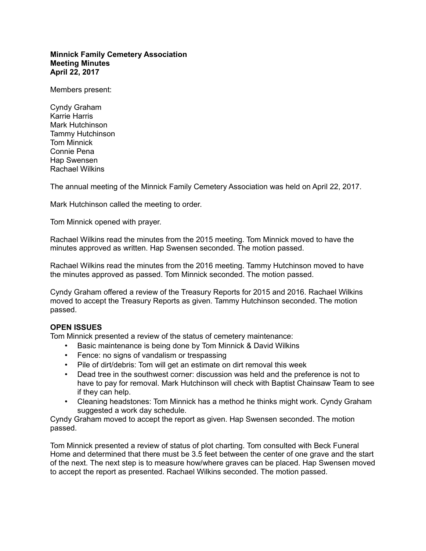## **Minnick Family Cemetery Association Meeting Minutes April 22, 2017**

Members present:

Cyndy Graham Karrie Harris Mark Hutchinson Tammy Hutchinson Tom Minnick Connie Pena Hap Swensen Rachael Wilkins

The annual meeting of the Minnick Family Cemetery Association was held on April 22, 2017.

Mark Hutchinson called the meeting to order.

Tom Minnick opened with prayer.

Rachael Wilkins read the minutes from the 2015 meeting. Tom Minnick moved to have the minutes approved as written. Hap Swensen seconded. The motion passed.

Rachael Wilkins read the minutes from the 2016 meeting. Tammy Hutchinson moved to have the minutes approved as passed. Tom Minnick seconded. The motion passed.

Cyndy Graham offered a review of the Treasury Reports for 2015 and 2016. Rachael Wilkins moved to accept the Treasury Reports as given. Tammy Hutchinson seconded. The motion passed.

## **OPEN ISSUES**

Tom Minnick presented a review of the status of cemetery maintenance:

- Basic maintenance is being done by Tom Minnick & David Wilkins
- Fence: no signs of vandalism or trespassing
- Pile of dirt/debris: Tom will get an estimate on dirt removal this week
- Dead tree in the southwest corner: discussion was held and the preference is not to have to pay for removal. Mark Hutchinson will check with Baptist Chainsaw Team to see if they can help.
- Cleaning headstones: Tom Minnick has a method he thinks might work. Cyndy Graham suggested a work day schedule.

Cyndy Graham moved to accept the report as given. Hap Swensen seconded. The motion passed.

Tom Minnick presented a review of status of plot charting. Tom consulted with Beck Funeral Home and determined that there must be 3.5 feet between the center of one grave and the start of the next. The next step is to measure how/where graves can be placed. Hap Swensen moved to accept the report as presented. Rachael Wilkins seconded. The motion passed.